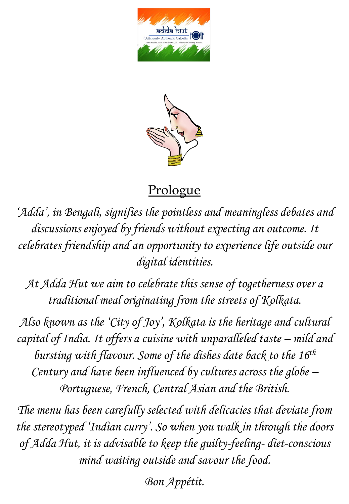



### **Prologue**

*'Adda', in Bengali, signifies the pointless and meaningless debates and discussions enjoyed by friends without expecting an outcome. It celebrates friendship and an opportunity to experience life outside our digital identities.* 

*At Adda Hut we aim to celebrate this sense of togetherness over a traditional meal originating from the streets of Kolkata.* 

*Also known as the 'City of Joy', Kolkata is the heritage and cultural capital of India. It offers a cuisine with unparalleled taste – mild and bursting with flavour. Some of the dishes date back to the 16th Century and have been influenced by cultures across the globe – Portuguese, French, Central Asian and the British.* 

*The menu has been carefully selected with delicacies that deviate from the stereotyped 'Indian curry'. So when you walk in through the doors of Adda Hut, it is advisable to keep the guilty-feeling- diet-conscious mind waiting outside and savour the food.* 

*Bon Appétit.*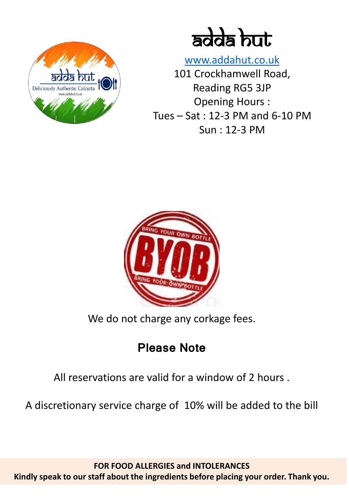

adda but

[www.addahut.co.uk](http://www.addahut.co.uk/) 101 Crockhamwell Road, Reading RG5 3JP Opening Hours : Tues – Sat : 12-3 PM and 6-10 PM Sun : 12-3 PM



We do not charge any corkage fees.

## **Please Note**

All reservations are valid for a window of 2 hours .

A discretionary service charge of 10% will be added to the bill

**FOR FOOD ALLERGIES and INTOLERANCES Kindly speak to our staff about the ingredients before placing your order. Thank you.**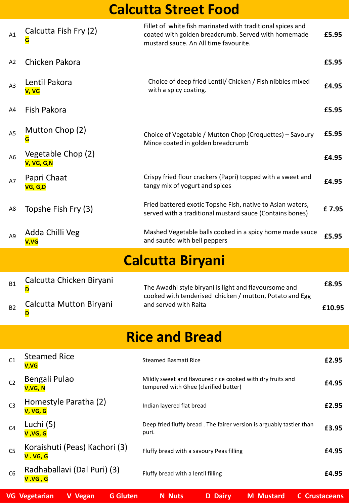# **Calcutta Street Food**

| A1             | Calcutta Fish Fry (2)<br>G               | Fillet of white fish marinated with traditional spices and<br>coated with golden breadcrumb. Served with homemade<br>mustard sauce. An All time favourite. | £5.95  |  |  |  |  |
|----------------|------------------------------------------|------------------------------------------------------------------------------------------------------------------------------------------------------------|--------|--|--|--|--|
| A2             | Chicken Pakora                           |                                                                                                                                                            | £5.95  |  |  |  |  |
| A <sub>3</sub> | Lentil Pakora<br>V, VG                   | Choice of deep fried Lentil/ Chicken / Fish nibbles mixed<br>with a spicy coating.                                                                         | £4.95  |  |  |  |  |
| A4             | Fish Pakora                              |                                                                                                                                                            | £5.95  |  |  |  |  |
| A <sub>5</sub> | Mutton Chop (2)<br>G                     | Choice of Vegetable / Mutton Chop (Croquettes) - Savoury<br>Mince coated in golden breadcrumb                                                              | £5.95  |  |  |  |  |
| A <sub>6</sub> | Vegetable Chop (2)<br>V, VG, G, N        |                                                                                                                                                            | £4.95  |  |  |  |  |
| A7             | Papri Chaat<br>VG, G,D                   | Crispy fried flour crackers (Papri) topped with a sweet and<br>tangy mix of yogurt and spices                                                              | £4.95  |  |  |  |  |
| A8             | Topshe Fish Fry (3)                      | Fried battered exotic Topshe Fish, native to Asian waters,<br>served with a traditional mustard sauce (Contains bones)                                     | £7.95  |  |  |  |  |
| A <sub>9</sub> | Adda Chilli Veg<br><b>V,VG</b>           | Mashed Vegetable balls cooked in a spicy home made sauce<br>and sautéd with bell peppers                                                                   | £5.95  |  |  |  |  |
|                | <b>Calcutta Biryani</b>                  |                                                                                                                                                            |        |  |  |  |  |
|                |                                          |                                                                                                                                                            |        |  |  |  |  |
| <b>B1</b>      | Calcutta Chicken Biryani<br>D            | The Awadhi style biryani is light and flavoursome and                                                                                                      | £8.95  |  |  |  |  |
| <b>B2</b>      | Calcutta Mutton Biryani<br>D             | cooked with tenderised chicken / mutton, Potato and Egg<br>and served with Raita                                                                           | £10.95 |  |  |  |  |
|                |                                          | <b>Rice and Bread</b>                                                                                                                                      |        |  |  |  |  |
| C1             | <b>Steamed Rice</b><br>V,VG              | <b>Steamed Basmati Rice</b>                                                                                                                                | £2.95  |  |  |  |  |
| C <sub>2</sub> | Bengali Pulao<br>V,VG, N                 | Mildly sweet and flavoured rice cooked with dry fruits and<br>tempered with Ghee (clarified butter)                                                        | £4.95  |  |  |  |  |
| C <sub>3</sub> | Homestyle Paratha (2)<br>V, VG, G        | Indian layered flat bread                                                                                                                                  | £2.95  |  |  |  |  |
| C <sub>4</sub> | Luchi (5)<br>V, VG, G                    | Deep fried fluffy bread. The fairer version is arguably tastier than<br>puri.                                                                              | £3.95  |  |  |  |  |
| C <sub>5</sub> | Koraishuti (Peas) Kachori (3)<br>V.VG, G | Fluffy bread with a savoury Peas filling                                                                                                                   | £4.95  |  |  |  |  |

| VG Vegetarian V Vegan G Gluten N Nuts D Dairy M Mustard C Crustaceans |  |  |  |  |  |  |  |
|-----------------------------------------------------------------------|--|--|--|--|--|--|--|
|-----------------------------------------------------------------------|--|--|--|--|--|--|--|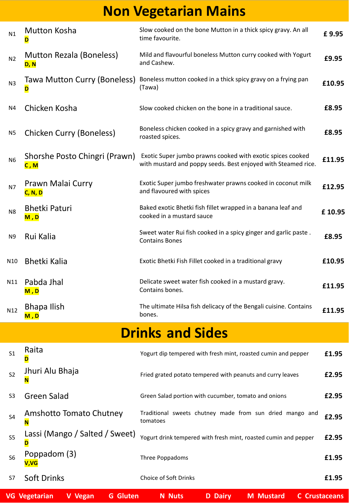# **Non Vegetarian Mains**

| N1             | <b>Mutton Kosha</b><br>D                | Slow cooked on the bone Mutton in a thick spicy gravy. An all<br>time favourite.                                            | £9.95  |
|----------------|-----------------------------------------|-----------------------------------------------------------------------------------------------------------------------------|--------|
| N <sub>2</sub> | <b>Mutton Rezala (Boneless)</b><br>D, N | Mild and flavourful boneless Mutton curry cooked with Yogurt<br>and Cashew.                                                 | £9.95  |
| N <sub>3</sub> | Tawa Mutton Curry (Boneless)<br>D       | Boneless mutton cooked in a thick spicy gravy on a frying pan<br>(Tawa)                                                     | £10.95 |
| N4             | Chicken Kosha                           | Slow cooked chicken on the bone in a traditional sauce.                                                                     | £8.95  |
| N5             | <b>Chicken Curry (Boneless)</b>         | Boneless chicken cooked in a spicy gravy and garnished with<br>roasted spices.                                              | £8.95  |
| N <sub>6</sub> | Shorshe Posto Chingri (Prawn)<br>C, M   | Exotic Super jumbo prawns cooked with exotic spices cooked<br>with mustard and poppy seeds. Best enjoyed with Steamed rice. | £11.95 |
| N7             | Prawn Malai Curry<br><b>C, N, D</b>     | Exotic Super jumbo freshwater prawns cooked in coconut milk<br>and flavoured with spices                                    | £12.95 |
| N8             | <b>Bhetki Paturi</b><br>M,D             | Baked exotic Bhetki fish fillet wrapped in a banana leaf and<br>cooked in a mustard sauce                                   | £10.95 |
| N9             | Rui Kalia                               | Sweet water Rui fish cooked in a spicy ginger and garlic paste.<br><b>Contains Bones</b>                                    | £8.95  |
| N10            | <b>Bhetki Kalia</b>                     | Exotic Bhetki Fish Fillet cooked in a traditional gravy                                                                     | £10.95 |
| N11            | Pabda Jhal<br>M, D                      | Delicate sweet water fish cooked in a mustard gravy.<br>Contains bones.                                                     | £11.95 |
| N12            | <b>Bhapa Ilish</b><br>M,D               | The ultimate Hilsa fish delicacy of the Bengali cuisine. Contains<br>bones.                                                 | £11.95 |

# **Drinks and Sides**

|                | <b>VG Vegetarian</b><br><b>G</b> Gluten<br>V Vegan | <b>Nuts</b><br>D<br><b>Dairy</b><br><b>M</b> Mustard<br>'N.          | <b>Crustaceans</b> |
|----------------|----------------------------------------------------|----------------------------------------------------------------------|--------------------|
| S7             | <b>Soft Drinks</b>                                 | <b>Choice of Soft Drinks</b>                                         | £1.95              |
| S <sub>6</sub> | Poppadom (3)<br>V,VG                               | Three Poppadoms                                                      | £1.95              |
| S <sub>5</sub> | Lassi (Mango / Salted / Sweet)<br>D                | Yogurt drink tempered with fresh mint, roasted cumin and pepper      | £2.95              |
| S <sub>4</sub> | Amshotto Tomato Chutney<br>N                       | Traditional sweets chutney made from sun dried mango and<br>tomatoes | £2.95              |
| S <sub>3</sub> | Green Salad                                        | Green Salad portion with cucumber, tomato and onions                 | £2.95              |
| S <sub>2</sub> | Jhuri Alu Bhaja<br>N                               | Fried grated potato tempered with peanuts and curry leaves           | £2.95              |
| S <sub>1</sub> | Raita<br>D                                         | Yogurt dip tempered with fresh mint, roasted cumin and pepper        | £1.95              |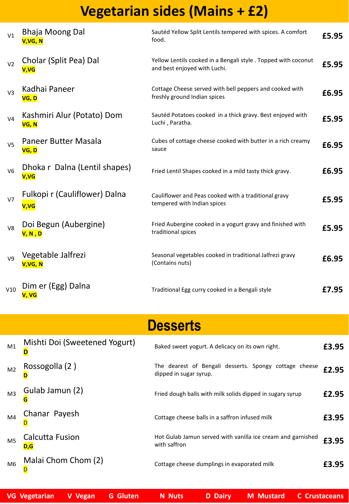# **Vegetarian sides (Mains + £2)**

| V1             | <b>Bhaja Moong Dal</b><br>V,VG, N     | Sautéd Yellow Split Lentils tempered with spices. A comfort<br>food.                           | £5.95 |
|----------------|---------------------------------------|------------------------------------------------------------------------------------------------|-------|
| V <sub>2</sub> | Cholar (Split Pea) Dal<br>V,VG        | Yellow Lentils cooked in a Bengali style . Topped with coconut<br>and best enjoyed with Luchi. | £5.95 |
| V3             | Kadhai Paneer<br>VG, D                | Cottage Cheese served with bell peppers and cooked with<br>freshly ground Indian spices        | £6.95 |
| V <sub>4</sub> | Kashmiri Alur (Potato) Dom<br>VG, N   | Sautéd Potatoes cooked in a thick gravy. Best enjoyed with<br>Luchi, Paratha.                  | £5.95 |
| V <sub>5</sub> | Paneer Butter Masala<br>VG, D         | Cubes of cottage cheese cooked with butter in a rich creamy<br>sauce                           | £6.95 |
| V <sub>6</sub> | Dhoka r Dalna (Lentil shapes)<br>V,VG | Fried Lentil Shapes cooked in a mild tasty thick gravy.                                        | £6.95 |
| V <sub>7</sub> | Fulkopi r (Cauliflower) Dalna<br>V,VG | Cauliflower and Peas cooked with a traditional gravy<br>tempered with Indian spices            | £5.95 |
| V8             | Doi Begun (Aubergine)<br>V, N, D      | Fried Aubergine cooked in a yogurt gravy and finished with<br>traditional spices               | £5.95 |
| V <sub>9</sub> | Vegetable Jalfrezi<br>V,VG, N         | Seasonal vegetables cooked in traditional Jalfrezi gravy<br>(Contains nuts)                    | £6.95 |
| V10            | Dim er (Egg) Dalna<br>V, VG           | Traditional Egg curry cooked in a Bengali style                                                | £7.95 |

# **Desserts**

| M1             | Mishti Doi (Sweetened Yogurt) | Baked sweet yogurt. A delicacy on its own right.                                 | £3.95 |
|----------------|-------------------------------|----------------------------------------------------------------------------------|-------|
| M <sub>2</sub> | Rossogolla (2)                | The dearest of Bengali desserts. Spongy cottage cheese<br>dipped in sugar syrup. | £2.95 |
| M <sub>3</sub> | Gulab Jamun (2)               | Fried dough balls with milk solids dipped in sugary syrup                        | £2.95 |
| M4             | Chanar Payesh                 | Cottage cheese balls in a saffron infused milk                                   | £3.95 |
| M <sub>5</sub> | Calcutta Fusion               | Hot Gulab Jamun served with vanilla ice cream and garnished<br>with saffron      | £3.95 |
| M <sub>6</sub> | Malai Chom Chom (2)           | Cottage cheese dumplings in evaporated milk                                      | £3.95 |

| VG Vegetarian V Vegan G Gluten N Nuts D Dairy M Mustard C Crustaceans |  |  |  |
|-----------------------------------------------------------------------|--|--|--|
|                                                                       |  |  |  |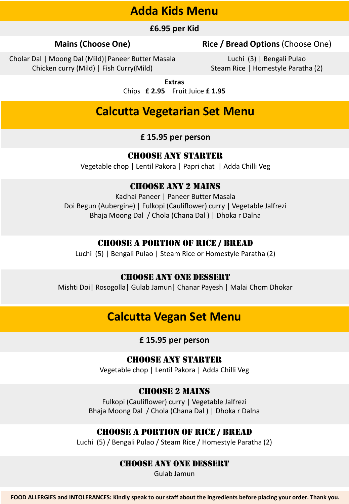### **Adda Kids Menu**

#### **£6.95 per Kid**

#### **Mains (Choose One) Rice / Bread Options** (Choose One)

Cholar Dal | Moong Dal (Mild)|Paneer Butter Masala Chicken curry (Mild) | Fish Curry(Mild)

Luchi (3) | Bengali Pulao Steam Rice | Homestyle Paratha (2)

**Extras** 

Chips **£ 2.95** Fruit Juice **£ 1.95**

### **Calcutta Vegetarian Set Menu**

#### **£ 15.95 per person**

#### Choose any Starter

Vegetable chop | Lentil Pakora | Papri chat | Adda Chilli Veg

### Choose any 2 mains

Kadhai Paneer | Paneer Butter Masala Doi Begun (Aubergine) | Fulkopi (Cauliflower) curry | Vegetable Jalfrezi Bhaja Moong Dal / Chola (Chana Dal ) | Dhoka r Dalna

#### Choose a portion of Rice / Bread

Luchi (5) | Bengali Pulao | Steam Rice or Homestyle Paratha (2)

#### Choose any one dessert

Mishti Doi| Rosogolla| Gulab Jamun| Chanar Payesh | Malai Chom Dhokar

### **Calcutta Vegan Set Menu**

#### **£ 15.95 per person**

#### Choose any Starter

Vegetable chop | Lentil Pakora | Adda Chilli Veg

#### Choose 2 Mains

Fulkopi (Cauliflower) curry | Vegetable Jalfrezi Bhaja Moong Dal / Chola (Chana Dal ) | Dhoka r Dalna

#### Choose a portion of Rice / Bread

Luchi (5) / Bengali Pulao / Steam Rice / Homestyle Paratha (2)

#### Choose any one dessert

Gulab Jamun

**FOOD ALLERGIES and INTOLERANCES: Kindly speak to our staff about the ingredients before placing your order. Thank you.**